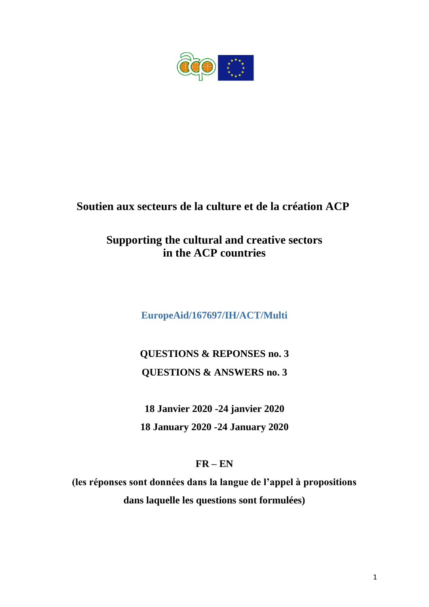

## **Soutien aux secteurs de la culture et de la création ACP**

## **Supporting the cultural and creative sectors in the ACP countries**

**EuropeAid/167697/IH/ACT/Multi**

# **QUESTIONS & REPONSES no. 3 QUESTIONS & ANSWERS no. 3**

**18 Janvier 2020 -24 janvier 2020 18 January 2020 -24 January 2020**

### **FR – EN**

**(les réponses sont données dans la langue de l'appel à propositions dans laquelle les questions sont formulées)**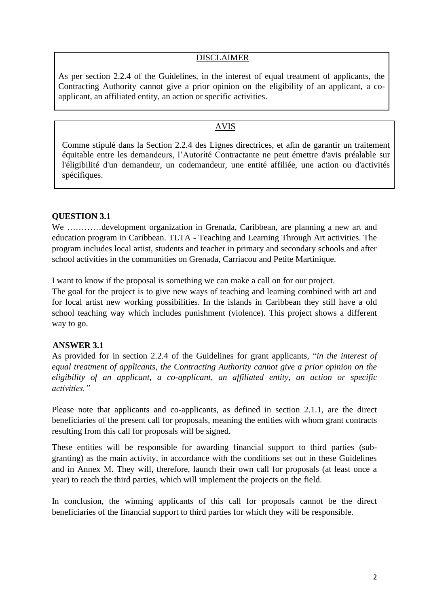#### DISCLAIMER

As per section 2.2.4 of the Guidelines, in the interest of equal treatment of applicants, the Contracting Authority cannot give a prior opinion on the eligibility of an applicant, a coapplicant, an affiliated entity, an action or specific activities.

#### AVIS

Comme stipulé dans la Section 2.2.4 des Lignes directrices, et afin de garantir un traitement équitable entre les demandeurs, l'Autorité Contractante ne peut émettre d'avis préalable sur l'éligibilité d'un demandeur, un codemandeur, une entité affiliée, une action ou d'activités spécifiques.

#### **QUESTION 3.1**

We ...............development organization in Grenada, Caribbean, are planning a new art and education program in Caribbean. TLTA - Teaching and Learning Through Art activities. The program includes local artist, students and teacher in primary and secondary schools and after school activities in the communities on Grenada, Carriacou and Petite Martinique.

I want to know if the proposal is something we can make a call on for our project.

The goal for the project is to give new ways of teaching and learning combined with art and for local artist new working possibilities. In the islands in Caribbean they still have a old school teaching way which includes punishment (violence). This project shows a different way to go.

#### **ANSWER 3.1**

As provided for in section 2.2.4 of the Guidelines for grant applicants, "*in the interest of equal treatment of applicants, the Contracting Authority cannot give a prior opinion on the eligibility of an applicant, a co-applicant, an affiliated entity, an action or specific activities."*

Please note that applicants and co-applicants, as defined in section 2.1.1, are the direct beneficiaries of the present call for proposals, meaning the entities with whom grant contracts resulting from this call for proposals will be signed.

These entities will be responsible for awarding financial support to third parties (subgranting) as the main activity, in accordance with the conditions set out in these Guidelines and in Annex M. They will, therefore, launch their own call for proposals (at least once a year) to reach the third parties, which will implement the projects on the field.

In conclusion, the winning applicants of this call for proposals cannot be the direct beneficiaries of the financial support to third parties for which they will be responsible.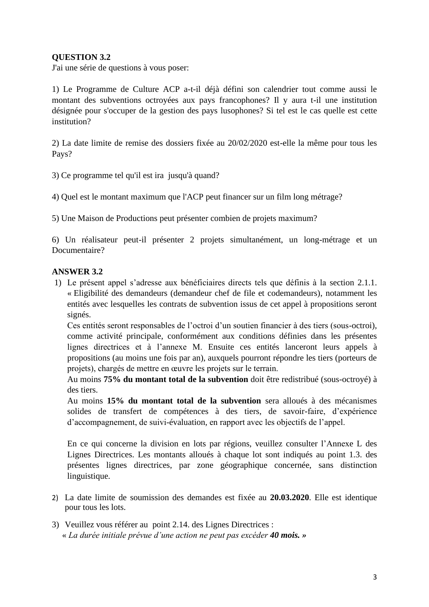#### **QUESTION 3.2**

J'ai une série de questions à vous poser:

1) Le Programme de Culture ACP a-t-il déjà défini son calendrier tout comme aussi le montant des subventions octroyées aux pays francophones? Il y aura t-il une institution désignée pour s'occuper de la gestion des pays lusophones? Si tel est le cas quelle est cette institution?

2) La date limite de remise des dossiers fixée au 20/02/2020 est-elle la même pour tous les Pays?

3) Ce programme tel qu'il est ira jusqu'à quand?

4) Quel est le montant maximum que l'ACP peut financer sur un film long métrage?

5) Une Maison de Productions peut présenter combien de projets maximum?

6) Un réalisateur peut-il présenter 2 projets simultanément, un long-métrage et un Documentaire?

#### **ANSWER 3.2**

1) Le présent appel s'adresse aux bénéficiaires directs tels que définis à la section 2.1.1. « Eligibilité des demandeurs (demandeur chef de file et codemandeurs), notamment les entités avec lesquelles les contrats de subvention issus de cet appel à propositions seront signés.

Ces entités seront responsables de l'octroi d'un soutien financier à des tiers (sous-octroi), comme activité principale, conformément aux conditions définies dans les présentes lignes directrices et à l'annexe M. Ensuite ces entités lanceront leurs appels à propositions (au moins une fois par an), auxquels pourront répondre les tiers (porteurs de projets), chargés de mettre en œuvre les projets sur le terrain.

Au moins **75% du montant total de la subvention** doit être redistribué (sous-octroyé) à des tiers.

Au moins **15% du montant total de la subvention** sera alloués à des mécanismes solides de transfert de compétences à des tiers, de savoir-faire, d'expérience d'accompagnement, de suivi-évaluation, en rapport avec les objectifs de l'appel.

En ce qui concerne la division en lots par régions, veuillez consulter l'Annexe L des Lignes Directrices. Les montants alloués à chaque lot sont indiqués au point 1.3. des présentes lignes directrices, par zone géographique concernée, sans distinction linguistique.

- 2) La date limite de soumission des demandes est fixée au **20.03.2020**. Elle est identique pour tous les lots.
- 3) Veuillez vous référer au point 2.14. des Lignes Directrices : « *La durée initiale prévue d'une action ne peut pas excéder 40 mois. »*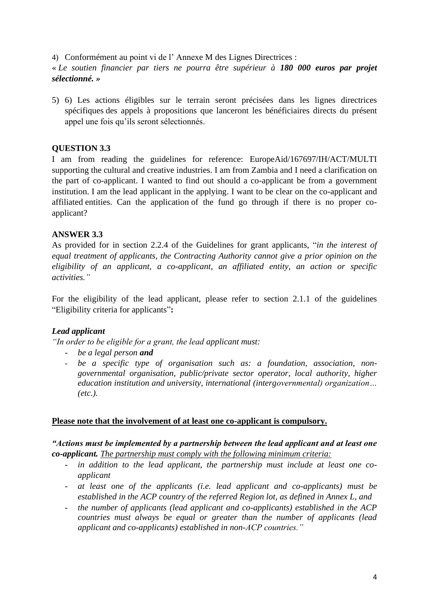4) Conformément au point vi de l' Annexe M des Lignes Directrices :

« *Le soutien financier par tiers ne pourra être supérieur à 180 000 euros par projet sélectionné. »*

5) 6) Les actions éligibles sur le terrain seront précisées dans les lignes directrices spécifiques des appels à propositions que lanceront les bénéficiaires directs du présent appel une fois qu'ils seront sélectionnés.

#### **QUESTION 3.3**

I am from reading the guidelines for reference: EuropeAid/167697/IH/ACT/MULTI supporting the cultural and creative industries. I am from Zambia and I need a clarification on the part of co-applicant. I wanted to find out should a co-applicant be from a government institution. I am the lead applicant in the applying. I want to be clear on the co-applicant and affiliated entities. Can the application of the fund go through if there is no proper coapplicant?

#### **ANSWER 3.3**

As provided for in section 2.2.4 of the Guidelines for grant applicants, "*in the interest of equal treatment of applicants, the Contracting Authority cannot give a prior opinion on the eligibility of an applicant, a co-applicant, an affiliated entity, an action or specific activities."*

For the eligibility of the lead applicant, please refer to section 2.1.1 of the guidelines "Eligibility criteria for applicants"**:**

#### *Lead applicant*

*"In order to be eligible for a grant, the lead applicant must:*

- *be a legal person and*
- *be a specific type of organisation such as: a foundation, association, nongovernmental organisation, public/private sector operator, local authority, higher education institution and university, international (intergovernmental) organization… (etc.).*

#### **Please note that the involvement of at least one co-applicant is compulsory.**

#### *"Actions must be implemented by a partnership between the lead applicant and at least one co-applicant. The partnership must comply with the following minimum criteria:*

- *in addition to the lead applicant, the partnership must include at least one coapplicant*
- *at least one of the applicants (i.e. lead applicant and co-applicants) must be established in the ACP country of the referred Region lot, as defined in Annex L, and*
- *the number of applicants (lead applicant and co-applicants) established in the ACP countries must always be equal or greater than the number of applicants (lead applicant and co-applicants) established in non-ACP countries."*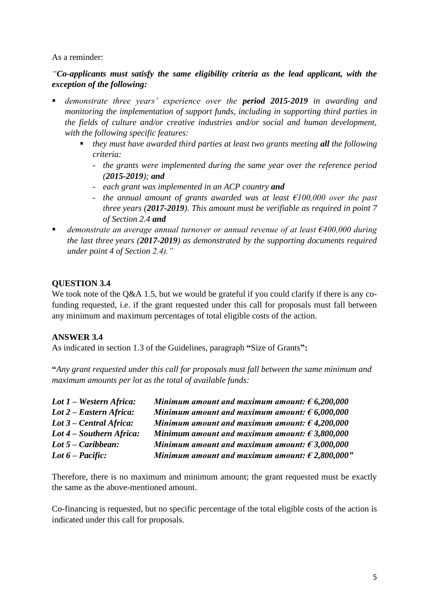#### As a reminder:

#### *"Co-applicants must satisfy the same eligibility criteria as the lead applicant, with the exception of the following:*

- *demonstrate three years' experience over the period 2015-2019 in awarding and monitoring the implementation of support funds, including in supporting third parties in the fields of culture and/or creative industries and/or social and human development, with the following specific features:*
	- *they must have awarded third parties at least two grants meeting all the following criteria:*
		- *the grants were implemented during the same year over the reference period (2015-2019); and*
		- *each grant was implemented in an ACP country and*
		- *the annual amount of grants awarded was at least €100,000 over the past three years (2017-2019). This amount must be verifiable as required in point 7 of Section 2.4 and*
- *demonstrate an average annual turnover or annual revenue of at least €400,000 during the last three years (2017-2019) as demonstrated by the supporting documents required under point 4 of Section 2.4)."*

#### **QUESTION 3.4**

We took note of the Q&A 1.5, but we would be grateful if you could clarify if there is any cofunding requested, i.e. if the grant requested under this call for proposals must fall between any minimum and maximum percentages of total eligible costs of the action.

#### **ANSWER 3.4**

As indicated in section 1.3 of the Guidelines, paragraph **"**Size of Grants**":** 

**"***Any grant requested under this call for proposals must fall between the same minimum and maximum amounts per lot as the total of available funds:*

| $Lot 1 - Western Africa:$ | Minimum amount and maximum amount: $\epsilon$ 6,200,000  |
|---------------------------|----------------------------------------------------------|
| Lot 2 – Eastern Africa:   | Minimum amount and maximum amount: $\epsilon$ 6,000,000  |
| Lot 3 – Central Africa:   | Minimum amount and maximum amount: $\epsilon$ 4,200,000  |
| Lot 4 – Southern Africa:  | Minimum amount and maximum amount: $\epsilon$ 3,800,000  |
| Lot $5$ – Caribbean:      | Minimum amount and maximum amount: $\epsilon$ 3,000,000  |
| Lot $6$ – Pacific:        | Minimum amount and maximum amount: $\epsilon$ 2,800,000" |

Therefore, there is no maximum and minimum amount; the grant requested must be exactly the same as the above-mentioned amount.

Co-financing is requested, but no specific percentage of the total eligible costs of the action is indicated under this call for proposals.